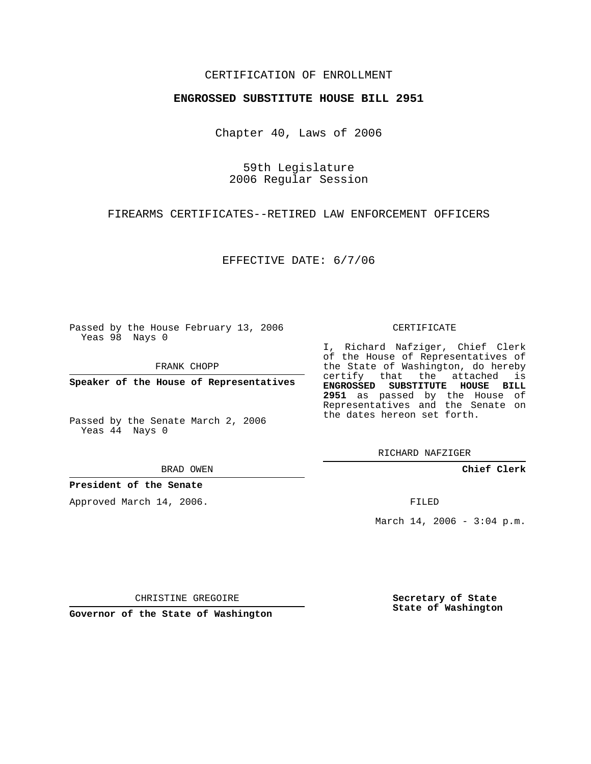## CERTIFICATION OF ENROLLMENT

## **ENGROSSED SUBSTITUTE HOUSE BILL 2951**

Chapter 40, Laws of 2006

59th Legislature 2006 Regular Session

FIREARMS CERTIFICATES--RETIRED LAW ENFORCEMENT OFFICERS

EFFECTIVE DATE: 6/7/06

Passed by the House February 13, 2006 Yeas 98 Nays 0

FRANK CHOPP

**Speaker of the House of Representatives**

Passed by the Senate March 2, 2006 Yeas 44 Nays 0

BRAD OWEN

**President of the Senate**

Approved March 14, 2006.

CERTIFICATE

I, Richard Nafziger, Chief Clerk of the House of Representatives of the State of Washington, do hereby certify that the attached is **ENGROSSED SUBSTITUTE HOUSE BILL 2951** as passed by the House of Representatives and the Senate on the dates hereon set forth.

RICHARD NAFZIGER

**Chief Clerk**

FILED

March 14, 2006 -  $3:04$  p.m.

CHRISTINE GREGOIRE

**Governor of the State of Washington**

**Secretary of State State of Washington**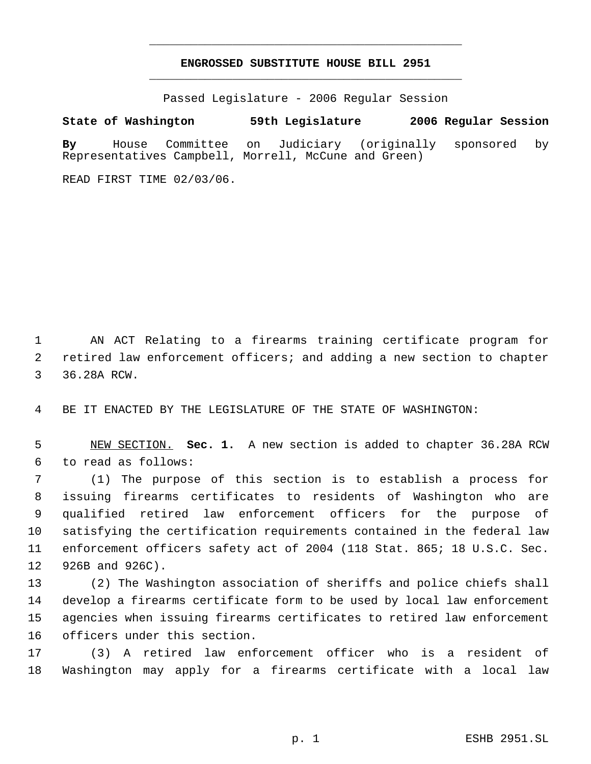## **ENGROSSED SUBSTITUTE HOUSE BILL 2951** \_\_\_\_\_\_\_\_\_\_\_\_\_\_\_\_\_\_\_\_\_\_\_\_\_\_\_\_\_\_\_\_\_\_\_\_\_\_\_\_\_\_\_\_\_

\_\_\_\_\_\_\_\_\_\_\_\_\_\_\_\_\_\_\_\_\_\_\_\_\_\_\_\_\_\_\_\_\_\_\_\_\_\_\_\_\_\_\_\_\_

Passed Legislature - 2006 Regular Session

## **State of Washington 59th Legislature 2006 Regular Session**

**By** House Committee on Judiciary (originally sponsored by Representatives Campbell, Morrell, McCune and Green)

READ FIRST TIME 02/03/06.

 AN ACT Relating to a firearms training certificate program for retired law enforcement officers; and adding a new section to chapter 36.28A RCW.

BE IT ENACTED BY THE LEGISLATURE OF THE STATE OF WASHINGTON:

 NEW SECTION. **Sec. 1.** A new section is added to chapter 36.28A RCW to read as follows:

 (1) The purpose of this section is to establish a process for issuing firearms certificates to residents of Washington who are qualified retired law enforcement officers for the purpose of satisfying the certification requirements contained in the federal law enforcement officers safety act of 2004 (118 Stat. 865; 18 U.S.C. Sec. 926B and 926C).

 (2) The Washington association of sheriffs and police chiefs shall develop a firearms certificate form to be used by local law enforcement agencies when issuing firearms certificates to retired law enforcement officers under this section.

 (3) A retired law enforcement officer who is a resident of Washington may apply for a firearms certificate with a local law